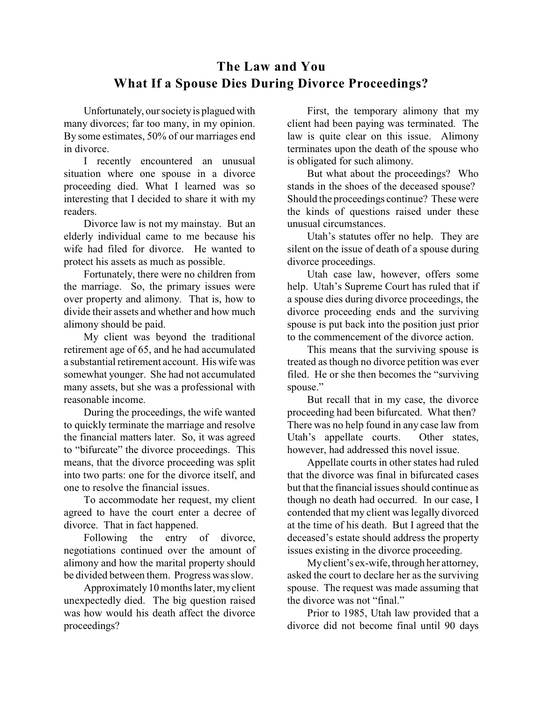## **The Law and You What If a Spouse Dies During Divorce Proceedings?**

Unfortunately, our society is plagued with many divorces; far too many, in my opinion. By some estimates, 50% of our marriages end in divorce.

I recently encountered an unusual situation where one spouse in a divorce proceeding died. What I learned was so interesting that I decided to share it with my readers.

Divorce law is not my mainstay. But an elderly individual came to me because his wife had filed for divorce. He wanted to protect his assets as much as possible.

Fortunately, there were no children from the marriage. So, the primary issues were over property and alimony. That is, how to divide their assets and whether and how much alimony should be paid.

My client was beyond the traditional retirement age of 65, and he had accumulated a substantial retirement account. His wife was somewhat younger. She had not accumulated many assets, but she was a professional with reasonable income.

During the proceedings, the wife wanted to quickly terminate the marriage and resolve the financial matters later. So, it was agreed to "bifurcate" the divorce proceedings. This means, that the divorce proceeding was split into two parts: one for the divorce itself, and one to resolve the financial issues.

To accommodate her request, my client agreed to have the court enter a decree of divorce. That in fact happened.

Following the entry of divorce, negotiations continued over the amount of alimony and how the marital property should be divided between them. Progress was slow.

Approximately10 months later, myclient unexpectedly died. The big question raised was how would his death affect the divorce proceedings?

First, the temporary alimony that my client had been paying was terminated. The law is quite clear on this issue. Alimony terminates upon the death of the spouse who is obligated for such alimony.

But what about the proceedings? Who stands in the shoes of the deceased spouse? Should the proceedings continue? These were the kinds of questions raised under these unusual circumstances.

Utah's statutes offer no help. They are silent on the issue of death of a spouse during divorce proceedings.

Utah case law, however, offers some help. Utah's Supreme Court has ruled that if a spouse dies during divorce proceedings, the divorce proceeding ends and the surviving spouse is put back into the position just prior to the commencement of the divorce action.

This means that the surviving spouse is treated as though no divorce petition was ever filed. He or she then becomes the "surviving spouse."

But recall that in my case, the divorce proceeding had been bifurcated. What then? There was no help found in any case law from Utah's appellate courts. Other states, however, had addressed this novel issue.

Appellate courts in other states had ruled that the divorce was final in bifurcated cases but that the financial issues should continue as though no death had occurred. In our case, I contended that my client was legally divorced at the time of his death. But I agreed that the deceased's estate should address the property issues existing in the divorce proceeding.

Myclient's ex-wife, through her attorney, asked the court to declare her as the surviving spouse. The request was made assuming that the divorce was not "final."

Prior to 1985, Utah law provided that a divorce did not become final until 90 days